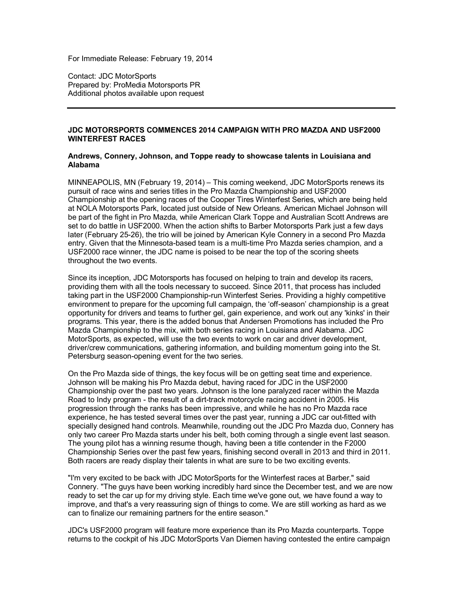For Immediate Release: February 19, 2014

Contact: JDC MotorSports Prepared by: ProMedia Motorsports PR Additional photos available upon request

## **JDC MOTORSPORTS COMMENCES 2014 CAMPAIGN WITH PRO MAZDA AND USF2000 WINTERFEST RACES**

## **Andrews, Connery, Johnson, and Toppe ready to showcase talents in Louisiana and Alabama**

MINNEAPOLIS, MN (February 19, 2014) – This coming weekend, JDC MotorSports renews its pursuit of race wins and series titles in the Pro Mazda Championship and USF2000 Championship at the opening races of the Cooper Tires Winterfest Series, which are being held at NOLA Motorsports Park, located just outside of New Orleans. American Michael Johnson will be part of the fight in Pro Mazda, while American Clark Toppe and Australian Scott Andrews are set to do battle in USF2000. When the action shifts to Barber Motorsports Park just a few days later (February 25-26), the trio will be joined by American Kyle Connery in a second Pro Mazda entry. Given that the Minnesota-based team is a multi-time Pro Mazda series champion, and a USF2000 race winner, the JDC name is poised to be near the top of the scoring sheets throughout the two events.

Since its inception, JDC Motorsports has focused on helping to train and develop its racers, providing them with all the tools necessary to succeed. Since 2011, that process has included taking part in the USF2000 Championship-run Winterfest Series. Providing a highly competitive environment to prepare for the upcoming full campaign, the 'off-season' championship is a great opportunity for drivers and teams to further gel, gain experience, and work out any 'kinks' in their programs. This year, there is the added bonus that Andersen Promotions has included the Pro Mazda Championship to the mix, with both series racing in Louisiana and Alabama. JDC MotorSports, as expected, will use the two events to work on car and driver development, driver/crew communications, gathering information, and building momentum going into the St. Petersburg season-opening event for the two series.

On the Pro Mazda side of things, the key focus will be on getting seat time and experience. Johnson will be making his Pro Mazda debut, having raced for JDC in the USF2000 Championship over the past two years. Johnson is the lone paralyzed racer within the Mazda Road to Indy program - the result of a dirt-track motorcycle racing accident in 2005. His progression through the ranks has been impressive, and while he has no Pro Mazda race experience, he has tested several times over the past year, running a JDC car out-fitted with specially designed hand controls. Meanwhile, rounding out the JDC Pro Mazda duo, Connery has only two career Pro Mazda starts under his belt, both coming through a single event last season. The young pilot has a winning resume though, having been a title contender in the F2000 Championship Series over the past few years, finishing second overall in 2013 and third in 2011. Both racers are ready display their talents in what are sure to be two exciting events.

"I'm very excited to be back with JDC MotorSports for the Winterfest races at Barber," said Connery. "The guys have been working incredibly hard since the December test, and we are now ready to set the car up for my driving style. Each time we've gone out, we have found a way to improve, and that's a very reassuring sign of things to come. We are still working as hard as we can to finalize our remaining partners for the entire season."

JDC's USF2000 program will feature more experience than its Pro Mazda counterparts. Toppe returns to the cockpit of his JDC MotorSports Van Diemen having contested the entire campaign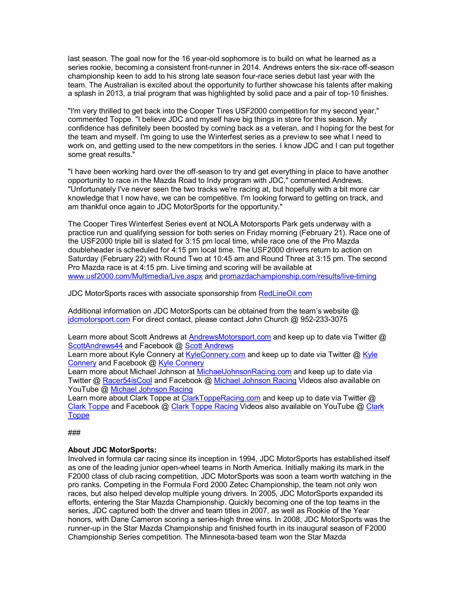last season. The goal now for the 16 year-old sophomore is to build on what he learned as a series rookie, becoming a consistent front-runner in 2014. Andrews enters the six-race off-season championship keen to add to his strong late season four-race series debut last year with the team. The Australian is excited about the opportunity to further showcase his talents after making a splash in 2013, a trial program that was highlighted by solid pace and a pair of top-10 finishes.

"I'm very thrilled to get back into the Cooper Tires USF2000 competition for my second year," commented Toppe. "I believe JDC and myself have big things in store for this season. My confidence has definitely been boosted by coming back as a veteran, and I hoping for the best for the team and myself. I'm going to use the Winterfest series as a preview to see what I need to work on, and getting used to the new competitors in the series. I know JDC and I can put together some great results."

"I have been working hard over the off-season to try and get everything in place to have another opportunity to race in the Mazda Road to Indy program with JDC," commented Andrews. "Unfortunately I've never seen the two tracks we're racing at, but hopefully with a bit more car knowledge that I now have, we can be competitive. I'm looking forward to getting on track, and am thankful once again to JDC MotorSports for the opportunity."

The Cooper Tires Winterfest Series event at NOLA Motorsports Park gets underway with a practice run and qualifying session for both series on Friday morning (February 21). Race one of the USF2000 triple bill is slated for 3:15 pm local time, while race one of the Pro Mazda doubleheader is scheduled for 4:15 pm local time. The USF2000 drivers return to action on Saturday (February 22) with Round Two at 10:45 am and Round Three at 3:15 pm. The second Pro Mazda race is at 4:15 pm. Live timing and scoring will be available at www.usf2000.com/Multimedia/Live.aspx and promazdachampionship.com/results/live-timing

JDC MotorSports races with associate sponsorship from RedLineOil.com

Additional information on JDC MotorSports can be obtained from the team's website @ jdcmotorsport.com For direct contact, please contact John Church @ 952-233-3075

Learn more about Scott Andrews at AndrewsMotorsport.com and keep up to date via Twitter @ ScottAndrews44 and Facebook @ Scott Andrews

Learn more about Kyle Connery at KyleConnery.com and keep up to date via Twitter @ Kyle Connery and Facebook @ Kyle Connery

Learn more about Michael Johnson at MichaelJohnsonRacing.com and keep up to date via Twitter @ Racer54isCool and Facebook @ Michael Johnson Racing Videos also available on YouTube @ Michael Johnson Racing

Learn more about Clark Toppe at ClarkToppeRacing.com and keep up to date via Twitter @ Clark Toppe and Facebook @ Clark Toppe Racing Videos also available on YouTube @ Clark Toppe

###

## **About JDC MotorSports:**

Involved in formula car racing since its inception in 1994, JDC MotorSports has established itself as one of the leading junior open-wheel teams in North America. Initially making its mark in the F2000 class of club racing competition, JDC MotorSports was soon a team worth watching in the pro ranks. Competing in the Formula Ford 2000 Zetec Championship, the team not only won races, but also helped develop multiple young drivers. In 2005, JDC MotorSports expanded its efforts, entering the Star Mazda Championship. Quickly becoming one of the top teams in the series, JDC captured both the driver and team titles in 2007, as well as Rookie of the Year honors, with Dane Cameron scoring a series-high three wins. In 2008, JDC MotorSports was the runner-up in the Star Mazda Championship and finished fourth in its inaugural season of F2000 Championship Series competition. The Minnesota-based team won the Star Mazda